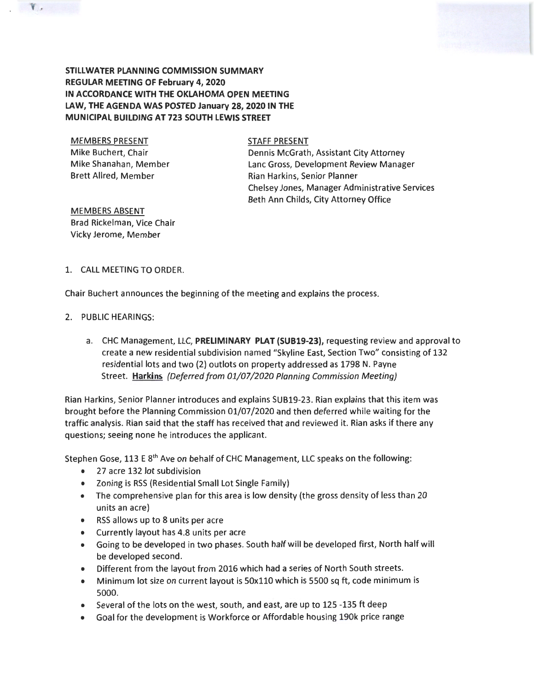## **STILLWATER PLANNING COMMISSION SUMMARY REGULAR MEETING OF February 4, 2020 IN ACCORDANCE WITH THE OKLAHOMA OPEN MEETING LAW, THE AGENDA WAS POSTED January 28, 2020 IN THE MUNICIPAL BUILDING AT 723 SOUTH LEWIS STREET**

MEMBERS PRESENT Mike Buchert, Chair Mike Shanahan, Member Brett Allred, Member

 $V_{\alpha}$ 

STAFF PRESENT

Dennis McGrath, Assistant City Attorney Lane Gross, Development Review Manager Rian Harkins, Senior Planner Chelsey Jones, Manager Administrative Services Beth Ann Childs, City Attorney Office

MEMBERS ABSENT Brad Rickelman, Vice Chair Vicky Jerome, Member

## 1. CALL MEETING TO ORDER.

Chair Buchert announces the beginning of the meeting and explains the process.

### 2. PUBLIC HEARINGS:

a. CHC Management, LLC, **PRELIMINARY PLAT (SUB19-23),** requesting review and approval to create a new residential subdivision named "Skyline East, Section Two" consisting of 132 residential lots and two (2) outlots on property addressed as 1798 N. Payne Street. Harkins *(Deferred from 01/07/2020 Planning Commission Meeting)* 

Rian Harkins, Senior Planner introduces and explains SUB19-23. Rian explains that this item was brought before the Planning Commission 01/07 /2020 and then deferred while waiting for the traffic analysis. Rian said that the staff has received that and reviewed it. Rian asks if there any questions; seeing none he introduces the applicant.

Stephen Gose, 113 E 8<sup>th</sup> Ave on behalf of CHC Management, LLC speaks on the following:

- 27 acre 132 lot subdivision
- Zoning is RSS (Residential Small Lot Single Family)
- The comprehensive plan for this area is low density (the gross density of less than 20 units an acre)
- RSS allows up to 8 units per acre
- Currently layout has 4.8 units per acre
- Going to be developed in two phases. South half will be developed first, North half will be developed second.
- Different from the layout from 2016 which had a series of North South streets.
- Minimum lot size on current layout is 50x110 which is 5500 sq ft, code minimum is 5000.
- Several of the lots on the west, south, and east, are up to 125 -135 ft deep
- Goal for the development is Workforce or Affordable housing 190k price range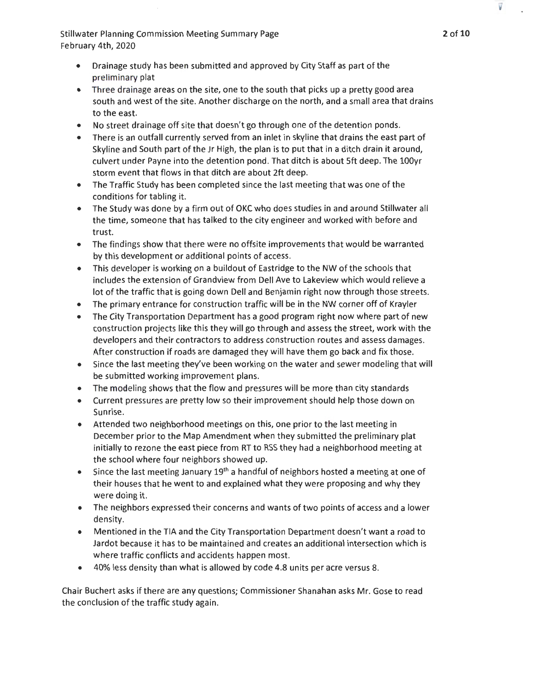- Drainage study has been submitted and approved by City Staff as part of the preliminary plat
- Three drainage areas on the site, one to the south that picks up a pretty good area south and west of the site. Another discharge on the north, and a small area that drains to the east.
- No street drainage off site that doesn't go through one of the detention ponds.
- There is an outfall currently served from an inlet in skyline that drains the east part of Skyline and South part of the Jr High, the plan is to put that in a ditch drain it around, culvert under Payne into the detention pond. That ditch is about Sft deep. The lOOyr storm event that flows in that ditch are about 2ft deep.
- The Traffic Study has been completed since the last meeting that was one of the conditions for tabling it.
- The Study was done by a firm out of OKC who does studies in and around Stillwater all the time, someone that has talked to the city engineer and worked with before and trust.
- The findings show that there were no offsite improvements that would be warranted by this development or additional points of access.
- This developer is working on a buildout of Eastridge to the NW of the schools that includes the extension of Grandview from Dell Ave to Lakeview which would relieve a lot of the traffic that is going down Dell and Benjamin right now through those streets.
- The primary entrance for construction traffic will be in the NW corner off of Krayler
- The City Transportation Department has a good program right now where part of new construction projects like this they will go through and assess the street, work with the developers and their contractors to address construction routes and assess damages. After construction if roads are damaged they will have them go back and fix those.
- Since the last meeting they've been working on the water and sewer modeling that will be submitted working improvement plans.
- The modeling shows that the flow and pressures will be more than city standards
- Current pressures are pretty low so their improvement should help those down on Sunrise.
- Attended two neighborhood meetings on this, one prior to the last meeting in December prior to the Map Amendment when they submitted the preliminary plat initially to rezone the east piece from RT to RSS they had a neighborhood meeting at the school where four neighbors showed up.
- Since the last meeting Jariuary  $19<sup>th</sup>$  a handful of neighbors hosted a meeting at one of their houses that he went to and explained what they were proposing and why they were doing it.
- The neighbors expressed their concerns and wants of two points of access and a lower density.
- Mentioned in the TIA and the City Transportation Department doesn't want a road to Jardot because it has to be maintained and creates an additional intersection which is where traffic conflicts and accidents happen most.
- 40% less density than what is allowed by code 4.8 units per acre versus 8.

Chair Buchert asks ifthere are any questions; Commissioner Shanahan asks Mr. Gose to read the conclusion of the traffic study again.

V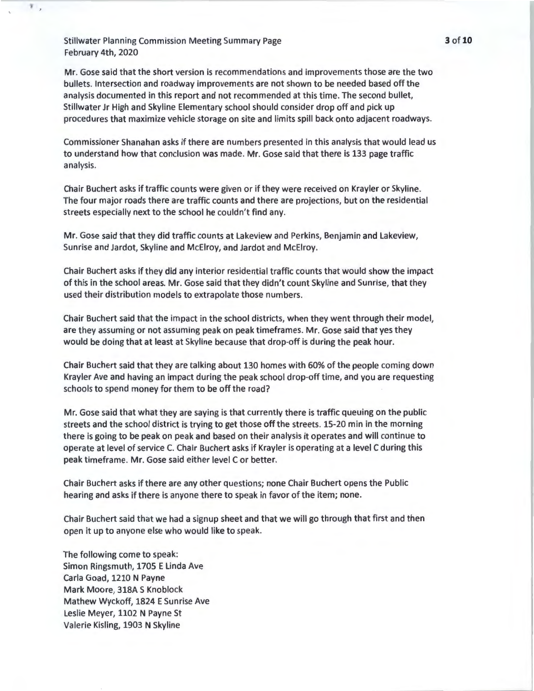v  $\overline{\phantom{a}}$ 

> Mr. Gose said that the short version is recommendations and improvements those are the two bullets. Intersection and roadway improvements are not shown to be needed based off the analysis documented in this report and not recommended at this time. The second bullet, Stillwater Jr High and Skyline Elementary school should consider drop off and pick up procedures that maximize vehicle storage on site and limits spill back onto adjacent roadways.

> Commissioner Shanahan asks if there are numbers presented in this analysis that would lead us to understand how that conclusion was made. Mr. Gose said that there is 133 page traffic analysis.

Chair Buchert asks if traffic counts were given or if they were received on Krayler or Skyline. The four major roads there are traffic counts and there are projections, but on the residential streets especially next to the school he couldn't find any.

Mr. Gose said that they did traffic counts at Lakeview and Perkins, Benjamin and Lakeview, Sunrise and Jardot, Skyline and McElroy, and Jardot and McElroy.

Chair Buchert asks if they did any interior residential traffic counts that would show the impact of this in the school areas. Mr. Gose said that they didn't count Skyline and Sunrise, that they used their distribution models to extrapolate those numbers.

Chair Buchert said that the impact in the school districts, when they went through their model, are they assuming or not assuming peak on peak timeframes. Mr. Gose said that yes they would be doing that at least at Skyline because that drop-off is during the peak hour.

Chair Buchert said that they are talking about 130 homes with 60% of the people coming down Krayler Ave and having an impact during the peak school drop-off time, and you are requesting schools to spend money for them to be off the road?

Mr. Gose said that what they are saying is that currently there is traffic queuing on the public streets and the school district is trying to get those off the streets. 15-20 min in the morning there is going to be peak on peak and based on their analysis it operates and will continue to operate at level of service C. Chair Buchert asks if Krayler is operating at a level C during this peak timeframe. Mr. Gose said either level C or better.

Chair Buchert asks if there are any other questions; none Chair Buchert opens the Public hearing and asks if there is anyone there to speak in favor of the item; none.

Chair Buchert said that we had a signup sheet and that we will go through that first and then open it up to anyone else who would like to speak.

The following come to speak: Simon Ringsmuth, 1705 E Linda Ave Carla Goad, 1210 N Payne Mark Moore, 318A S Knoblock Mathew Wyckoff, 1824 E Sunrise Ave Leslie Meyer, 1102 N Payne St Valerie Kisling, 1903 N Skyline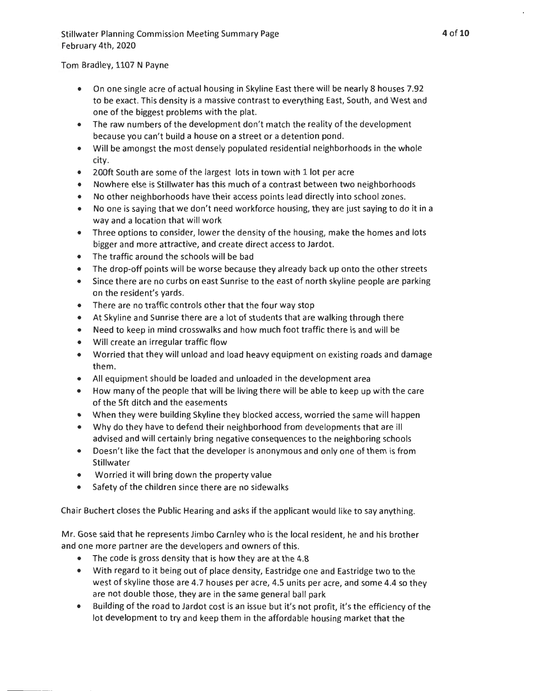# Tom Bradley, 1107 N Payne

- On one single acre of actual housing in Skyline East there will be nearly 8 houses 7.92 to be exact. This density is a massive contrast to everything East, South, and West and one of the biggest problems with the plat.
- The raw numbers of the development don't match the reality of the development because you can't build a house on a street or a detention pond.
- Will be amongst the most densely populated residential neighborhoods in the whole city.
- 200ft South are some of the largest lots in town with 1 lot per acre
- Nowhere else is Stillwater has this much of a contrast between two neighborhoods
- No other neighborhoods have their access points lead directly into school zones.
- No one is saying that we don't need workforce housing, they are just saying to do it in a way and a location that will work
- Three options to consider, lower the density of the housing, make the homes and lots bigger and more attractive, and create direct access to Jardot.
- The traffic around the schools will be bad
- The drop-off points will be worse because they already back up onto the other streets
- Since there are no curbs on east Sunrise to the east of north skyline people are parking on the resident's yards.
- There are no traffic controls other that the four way stop
- At Skyline and Sunrise there are a lot of students that are walking through there
- Need to keep in mind crosswalks and how much foot traffic there is and will be
- Will create an irregular traffic flow
- Worried that they will unload and load heavy equipment on existing roads and damage them.
- All equipment should be loaded and unloaded in the development area
- How many of the people that will be living there will be able to keep up with the care of the Sft ditch and the easements
- When they were building Skyline they blocked access, worried the same will happen
- Why do they have to defend their neighborhood from developments that are ill advised and will certainly bring negative consequences to the neighboring schools
- Doesn't like the fact that the developer is anonymous and only one of them is from Stillwater
- Worried it will bring down the property value
- Safety of the children since there are no sidewalks

Chair Buchert closes the Public Hearing and asks if the applicant would like to say anything.

Mr. Gose said that he represents Jimbo Carnley who is the local resident, he and his brother and one more partner are the developers and owners of this.

- The code is gross density that is how they are at the 4.8
- With regard to it being out of place density, Eastridge one and Eastridge two to the west of skyline those are 4.7 houses per acre, 4.5 units per acre, and some 4.4 so they are not double those, they are in the same general ball park
- Building of the road to Jardot cost is an issue but it's not profit, it's the efficiency of the lot development to try and keep them in the affordable housing market that the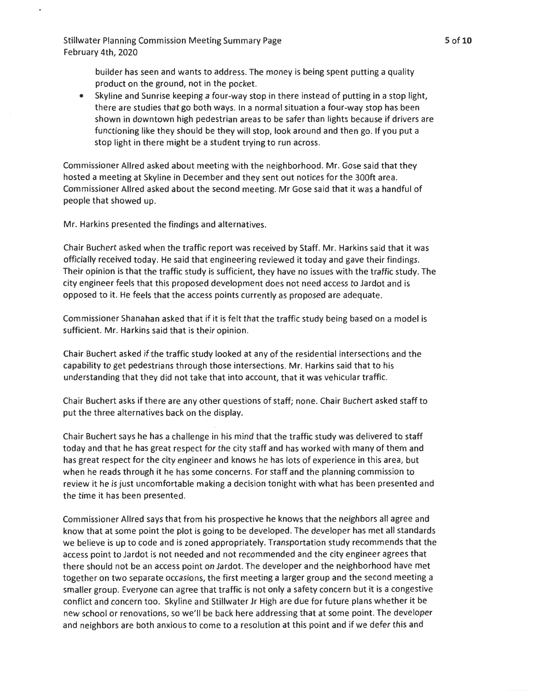> builder has seen and wants to address. The money is being spent putting a quality product on the ground, not in the pocket.

• Skyline and Sunrise keeping a four-way stop in there instead of putting in a stop light, there are studies that go both ways. In a normal situation a four-way stop has been shown in downtown high pedestrian areas to be safer than lights because if drivers are functioning like they should be they will stop, look around and then go. If you put a stop light in there might be a student trying to run across.

Commissioner Allred asked about meeting with the neighborhood. Mr. Gose said that they hosted a meeting at Skyline in December and they sent out notices for the 300ft area. Commissioner Allred asked about the second meeting. Mr Gose said that it was a handful of people that showed up.

Mr. Harkins presented the findings and alternatives.

Chair Buchert asked when the traffic report was received by Staff. Mr. Harkins said that it was officially received today. He said that engineering reviewed it today and gave their findings. Their opinion is that the traffic study is sufficient, they have no issues with the traffic study. The city engineer feels that this proposed development does not need access to Jardot and is opposed to it. He feels that the access points currently as proposed are adequate.

Commissioner Shanahan asked that if it is felt that the traffic study being based on a model is sufficient. Mr. Harkins said that is their opinion.

Chair Buchert asked if the traffic study looked at any of the residential intersections and the capability to get pedestrians through those intersections. Mr. Harkins said that to his understanding that they did not take that into account, that it was vehicular traffic.

Chair Buchert asks if there are any other questions of staff; none. Chair Buchert asked staff to put the three alternatives back on the display.

Chair Buchert says he has a challenge in his mind that the traffic study was delivered to staff today and that he has great respect for the city staff and has worked with many of them and has great respect for the city engineer and knows he has lots of experience in this area, but when he reads through it he has some concerns. For staff and the planning commission to review it he is just uncomfortable making a decision tonight with what has been presented and the time it has been presented.

Commissioner Allred says that from his prospective he knows that the neighbors all agree and know that at some point the plot is going to be developed. The developer has met all standards we believe is up to code and is zoned appropriately. Transportation study recommends that the access point to Jardot is not needed and not recommended and the city engineer agrees that there should not be an access point on Jardot. The developer and the neighborhood have met together on two separate occasions, the first meeting a larger group and the second meeting a smaller group. Everyone can agree that traffic is not only a safety concern but it is a congestive conflict and concern too. Skyline and Stillwater Jr High are due for future plans whether it be new school or renovations, so we'll be back here addressing that at some point. The developer and neighbors are both anxious to come to a resolution at this point and if we defer this and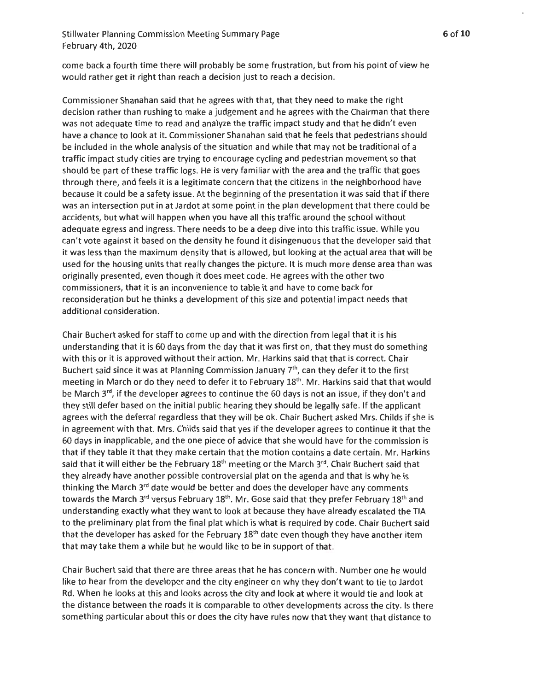come back a fourth time there will probably be some frustration, but from his point of view he would rather get it right than reach a decision just to reach a decision.

Commissioner Shanahan said that he agrees with that, that they need to make the right decision rather than rushing to make a judgement and he agrees with the Chairman that there was not adequate time to read and analyze the traffic impact study and that he didn't even have a chance to look at it. Commissioner Shanahan said that he feels that pedestrians should be included in the whole analysis of the situation and while that may not be traditional of a traffic impact study cities are trying to encourage cycling and pedestrian movement so that should be part of these traffic logs. He is very familiar with the area and the traffic that goes through there, and feels it is a legitimate concern that the citizens in the neighborhood have because it could be a safety issue. At the beginning of the presentation it was said that if there was an intersection put in at Jardot at some point in the plan development that there could be accidents, but what will happen when you have all this traffic around the school without adequate egress and ingress. There needs to be a deep dive into this traffic issue. While you can't vote against it based on the density he found it disingenuous that the developer said that it was less than the maximum density that is allowed, but looking at the actual area that will be used for the housing units that really changes the picture. It is much more dense area than was originally presented, even though it does meet code. He agrees with the other two commissioners, that it is an inconvenience to table it and have to come back for reconsideration but he thinks a development of this size and potential impact needs that additional consideration.

Chair Buchert asked for staff to come up and with the direction from legal that it is his understanding that it is 60 days from the day that it was first on, that they must do something with this or it is approved without their action. Mr. Harkins said that that is correct. Chair Buchert said since it was at Planning Commission January  $7<sup>th</sup>$ , can they defer it to the first meeting in March or do they need to defer it to February 18<sup>th</sup>. Mr. Harkins said that that would be March 3<sup>rd</sup>, if the developer agrees to continue the 60 days is not an issue, if they don't and they still defer based on the initial public hearing they should be legally safe. If the applicant agrees with the deferral regardless that they will be ok. Chair Buchert asked Mrs. Childs if she is in agreement with that. Mrs. Childs said that yes if the developer agrees to continue it that the 60 days in inapplicable, and the one piece of advice that she would have for the commission is that if they table it that they make certain that the motion contains a date certain . Mr. Harkins said that it will either be the February  $18<sup>th</sup>$  meeting or the March  $3<sup>rd</sup>$ . Chair Buchert said that they already have another possible controversial plat on the agenda and that is why he is thinking the March  $3<sup>rd</sup>$  date would be better and does the developer have any comments towards the March 3<sup>rd</sup> versus February 18<sup>th</sup>. Mr. Gose said that they prefer February 18<sup>th</sup> and understanding exactly what they want to look at because they have already escalated the TIA to the preliminary plat from the final plat which is what is required by code. Chair Buchert said that the developer has asked for the February  $18<sup>th</sup>$  date even though they have another item that may take them a while but he would like to be in support of that.

Chair Buchert said that there are three areas that he has concern with. Number one he would like to hear from the developer and the city engineer on why they don't want to tie to Jardot Rd. When he looks at this and looks across the city and look at where it would tie and look at the distance between the roads it is comparable to other developments across the city. Is there something particular about this or does the city have rules now that they want that distance to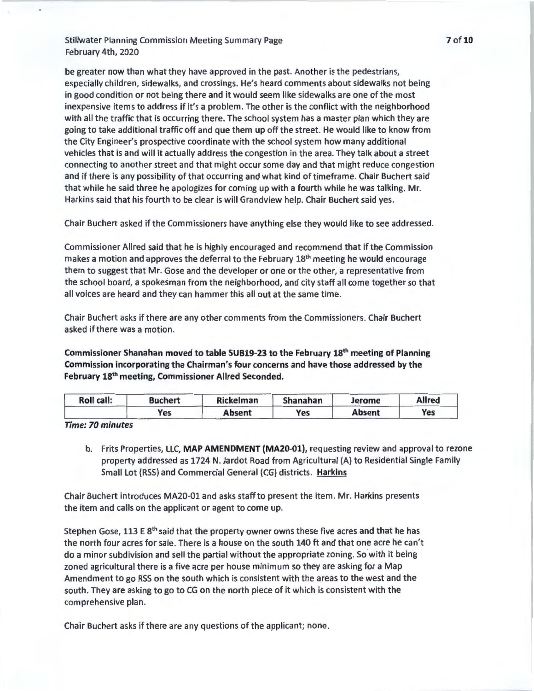be greater now than what they have approved in the past. Another is the pedestrians, especially children, sidewalks, and crossings. He's heard comments about sidewalks not being in good condition or not being there and it would seem like sidewalks are one of the most inexpensive items to address if it's a problem. The other is the conflict with the neighborhood with all the traffic that is occurring there. The school system has a master plan which they are going to take additional traffic off and que them up off the street. He would like to know from the City Engineer's prospective coordinate with the school system how many additional vehicles that is and will it actually address the congestion in the area. They talk about a street connecting to another street and that might occur some day and that might reduce congestion and if there is any possibility of that occurring and what kind of timeframe. Chair Buchert said that while he said three he apologizes for coming up with a fourth while he was talking. Mr. Harkins said that his fourth to be clear is will Grandview help. Chair Buchert said yes.

Chair Buchert asked if the Commissioners have anything else they would like to see addressed.

Commissioner Allred said that he is highly encouraged and recommend that if the Commission makes a motion and approves the deferral to the February 18<sup>th</sup> meeting he would encourage them to suggest that Mr. Gose and the developer or one or the other, a representative from the school board, a spokesman from the neighborhood, and city staff all come together so that all voices are heard and they can hammer this all out at the same time.

Chair Buchert asks if there are any other comments from the Commissioners. Chair Buchert asked if there was a motion.

Commissioner Shanahan moved to table SUB19-23 to the February 18th meeting of Planning Commission incorporating the Chairman's four concerns and have those addressed by the February 18th meeting, Commissioner Allred Seconded.

| Roll call: | <b>Buchert</b> | <b>Rickelman</b> | Shanahan | Jerome        | <b>Allred</b> |
|------------|----------------|------------------|----------|---------------|---------------|
|            | Yes            | Absent           | Yes      | <b>Absent</b> | Yes           |

*Time: 70 minutes* 

b. Frits Properties, LLC, MAP AMENDMENT (MA20-01), requesting review and approval to rezone property addressed as 1724 N. Jardot Road from Agricultural (A) to Residential Single Family Small Lot (RSS) and Commercial General (CG) districts. Harkins

Chair Buchert introduces MA20-01 and asks staff to present the item. Mr. Harkins presents the item and calls on the applicant or agent to come up.

Stephen Gose, 113 E 8<sup>th</sup> said that the property owner owns these five acres and that he has the north four acres for sale. There is a house on the south 140 ft and that one acre he can't do a minor subdivision and sell the partial without the appropriate zoning. So with it being zoned agricultural there is a five acre per house minimum so they are asking for a Map Amendment to go RSS on the south which is consistent with the areas to the west and the south. They are asking to go to CG on the north piece of it which is consistent with the comprehensive plan.

Chair Buchert asks if there are any questions of the applicant; none.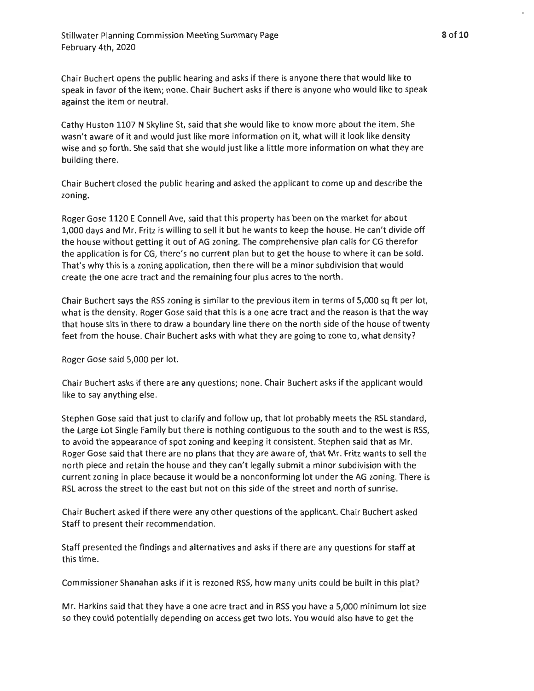8of10

Chair Buchert opens the public hearing and asks if there is anyone there that would like to speak in favor of the item; none. Chair Buchert asks if there is anyone who would like to speak against the item or neutral.

Cathy Huston 1107 N Skyline St, said that she would like to know more about the item . She wasn't aware of it and would just like more information on it, what will it look like density wise and so forth. She said that she would just like a little more information on what they are building there.

Chair Buchert closed the public hearing and asked the applicant to come up and describe the zoning.

Roger Gose 1120 E Connell Ave, said that this property has been on the market for about 1,000 days and Mr. Fritz is willing to sell it but he wants to keep the house. He can't divide off the house without getting it out of AG zoning. The comprehensive plan calls for CG therefor the application is for CG, there's no current plan but to get the house to where it can be sold. That's why this is a zoning application, then there will be a minor subdivision that would create the one acre tract and the remaining four plus acres to the north.

Chair Buchert says the RSS zoning is similar to the previous item in terms of 5,000 sq ft per lot, what is the density. Roger Gose said that this is a one acre tract and the reason is that the way that house sits in there to draw a boundary line there on the north side of the house of twenty feet from the house. Chair Buchert asks with what they are going to zone to, what density?

Roger Gose said 5,000 per lot.

Chair Buchert asks if there are any questions; none. Chair Buchert asks if the applicant would like to say anything else.

Stephen Gose said that just to clarify and follow up, that lot probably meets the RSL standard, the Large Lot Single Family but there is nothing contiguous to the south and to the west is RSS, to avoid the appearance of spot zoning and keeping it consistent. Stephen said that as Mr. Roger Gose said that there are no plans that they are aware of, that Mr. Fritz wants to sell the north piece and retain the house and they can't legally submit a minor subdivision with the current zoning in place because it would be a nonconforming lot under the AG zoning. There is RSL across the street to the east but not on this side of the street and north of sunrise.

Chair Buchert asked if there were any other questions of the applicant. Chair Buchert asked Staff to present their recommendation.

Staff presented the findings and alternatives and asks if there are any questions for staff at this time.

Commissioner Shanahan asks if it is rezoned RSS, how many units could be built in this plat?

Mr. Harkins said that they have a one acre tract and in RSS you have a 5,000 minimum lot size so they could potentially depending on access get two lots. You would also have to get the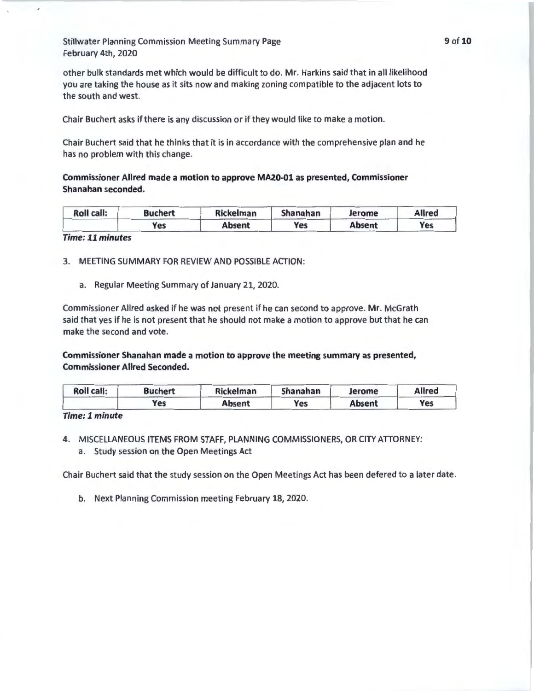other bulk standards met which would be difficult to do. Mr. Harkins said that in all likelihood you are taking the house as it sits now and making zoning compatible to the adjacent lots to the south and west.

Chair Buchert asks if there is any discussion or if they would like to make a motion.

Chair Buchert said that he thinks that it is in accordance with the comprehensive plan and he has no problem with this change.

Commissioner Allred made a motion to approve MA20-01 as presented, Commissioner Shanahan seconded.

| <b>Roll call:</b> | Buchert | <b>Rickelman</b> | Shanahan | Jerome        | <b>Allred</b> |
|-------------------|---------|------------------|----------|---------------|---------------|
|                   | Yes     | <b>Absent</b>    | Yes      | <b>Absent</b> | Yes           |

*Time: 11 minutes* 

3. MEETING SUMMARY FOR REVIEW AND POSSIBLE ACTION:

a. Regular Meeting Summary of January 21, 2020.

Commissioner Allred asked if he was not present if he can second to approve. Mr. McGrath said that yes if he is not present that he should not make a motion to approve but that he can make the second and vote.

Commissioner Shanahan made a motion to approve the meeting summary as presented, Commissioner Allred Seconded.

| <b>Roll call:</b> | Buchert | Rickelman | Shanahan | Jerome        | <b>Allred</b> |
|-------------------|---------|-----------|----------|---------------|---------------|
|                   | Yes     | Absent    | Yes      | <b>Absent</b> | Yes           |

*Time: l minute* 

- 4. MISCELLANEOUS ITEMS FROM STAFF, PLANNING COMMISSIONERS, OR CITY ATIORNEY:
	- a. Study session on the Open Meetings Act

Chair Buchert said that the study session on the Open Meetings Act has been defered to a later date.

b. Next Planning Commission meeting February 18, 2020.